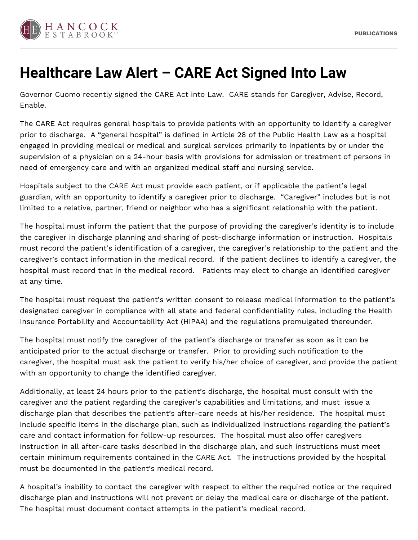

## **Healthcare Law Alert – CARE Act Signed Into Law**

Governor Cuomo recently signed the CARE Act into Law. CARE stands for Caregiver, Advise, Record, Enable.

The CARE Act requires general hospitals to provide patients with an opportunity to identify a caregiver prior to discharge. A "general hospital" is defined in Article 28 of the Public Health Law as a hospital engaged in providing medical or medical and surgical services primarily to inpatients by or under the supervision of a physician on a 24-hour basis with provisions for admission or treatment of persons in need of emergency care and with an organized medical staff and nursing service.

Hospitals subject to the CARE Act must provide each patient, or if applicable the patient's legal guardian, with an opportunity to identify a caregiver prior to discharge. "Caregiver" includes but is not limited to a relative, partner, friend or neighbor who has a significant relationship with the patient.

The hospital must inform the patient that the purpose of providing the caregiver's identity is to include the caregiver in discharge planning and sharing of post-discharge information or instruction. Hospitals must record the patient's identification of a caregiver, the caregiver's relationship to the patient and the caregiver's contact information in the medical record. If the patient declines to identify a caregiver, the hospital must record that in the medical record. Patients may elect to change an identified caregiver at any time.

The hospital must request the patient's written consent to release medical information to the patient's designated caregiver in compliance with all state and federal confidentiality rules, including the Health Insurance Portability and Accountability Act (HIPAA) and the regulations promulgated thereunder.

The hospital must notify the caregiver of the patient's discharge or transfer as soon as it can be anticipated prior to the actual discharge or transfer. Prior to providing such notification to the caregiver, the hospital must ask the patient to verify his/her choice of caregiver, and provide the patient with an opportunity to change the identified caregiver.

Additionally, at least 24 hours prior to the patient's discharge, the hospital must consult with the caregiver and the patient regarding the caregiver's capabilities and limitations, and must issue a discharge plan that describes the patient's after-care needs at his/her residence. The hospital must include specific items in the discharge plan, such as individualized instructions regarding the patient's care and contact information for follow-up resources. The hospital must also offer caregivers instruction in all after-care tasks described in the discharge plan, and such instructions must meet certain minimum requirements contained in the CARE Act. The instructions provided by the hospital must be documented in the patient's medical record.

A hospital's inability to contact the caregiver with respect to either the required notice or the required discharge plan and instructions will not prevent or delay the medical care or discharge of the patient. The hospital must document contact attempts in the patient's medical record.